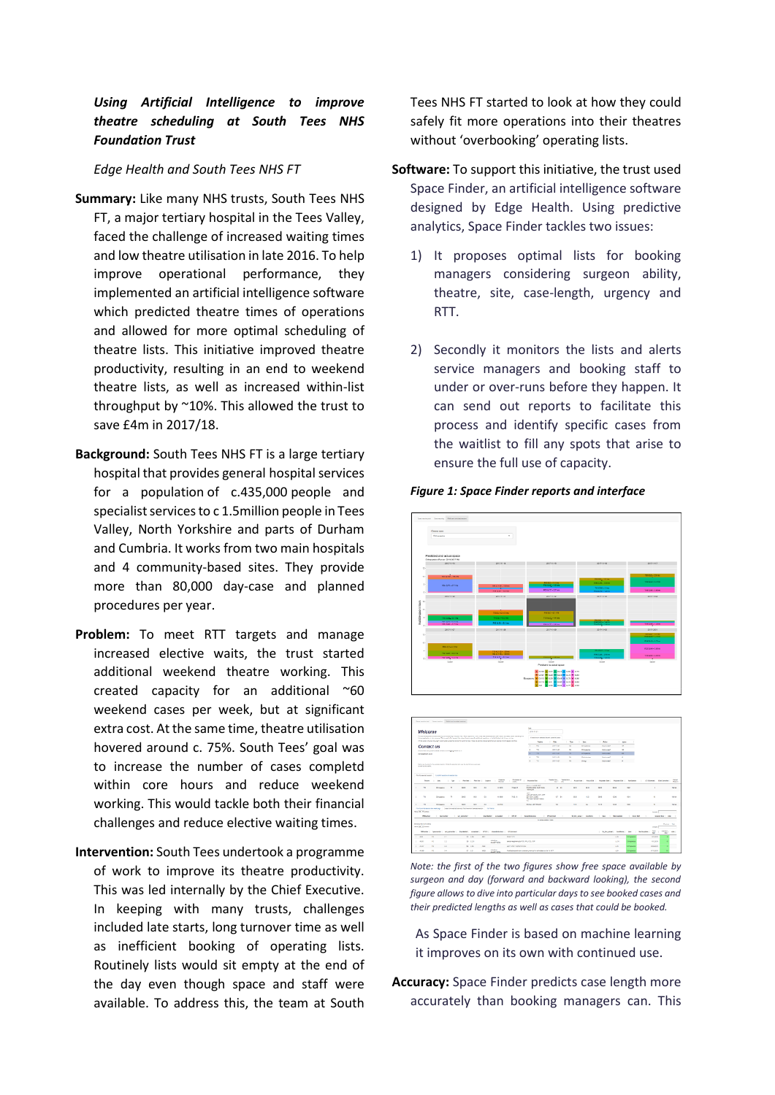## *Using Artificial Intelligence to improve theatre scheduling at South Tees NHS Foundation Trust*

*Edge Health and South Tees NHS FT*

- **Summary:** Like many NHS trusts, South Tees NHS FT, a major tertiary hospital in the Tees Valley, faced the challenge of increased waiting times and low theatre utilisation in late 2016. To help improve operational performance, they implemented an artificial intelligence software which predicted theatre times of operations and allowed for more optimal scheduling of theatre lists. This initiative improved theatre productivity, resulting in an end to weekend theatre lists, as well as increased within-list throughput by ~10%. This allowed the trust to save £4m in 2017/18.
- **Background:** South Tees NHS FT is a large tertiary hospital that provides general hospital services for a population of c.435,000 people and specialist services to c 1.5million people in Tees Valley, North Yorkshire and parts of Durham and Cumbria. It works from two main hospitals and 4 community-based sites. They provide more than 80,000 day-case and planned procedures per year.
- **Problem:** To meet RTT targets and manage increased elective waits, the trust started additional weekend theatre working. This created capacity for an additional ~60 weekend cases per week, but at significant extra cost. At the same time, theatre utilisation hovered around c. 75%. South Tees' goal was to increase the number of cases completd within core hours and reduce weekend working. This would tackle both their financial challenges and reduce elective waiting times.
- **Intervention:** South Tees undertook a programme of work to improve its theatre productivity. This was led internally by the Chief Executive. In keeping with many trusts, challenges included late starts, long turnover time as well as inefficient booking of operating lists. Routinely lists would sit empty at the end of the day even though space and staff were available. To address this, the team at South

Tees NHS FT started to look at how they could safely fit more operations into their theatres without 'overbooking' operating lists.

- **Software:** To support this initiative, the trust used Space Finder, an artificial intelligence software designed by Edge Health. Using predictive analytics, Space Finder tackles two issues:
	- 1) It proposes optimal lists for booking managers considering surgeon ability, theatre, site, case-length, urgency and RTT.
	- 2) Secondly it monitors the lists and alerts service managers and booking staff to under or over-runs before they happen. It can send out reports to facilitate this process and identify specific cases from the waitlist to fill any spots that arise to ensure the full use of capacity.

## *Figure 1: Space Finder reports and interface*





*Note: the first of the two figures show free space available by surgeon and day (forward and backward looking), the second figure allows to dive into particular days to see booked cases and their predicted lengths as well as cases that could be booked.* 

As Space Finder is based on machine learning it improves on its own with continued use.

**Accuracy:** Space Finder predicts case length more accurately than booking managers can. This